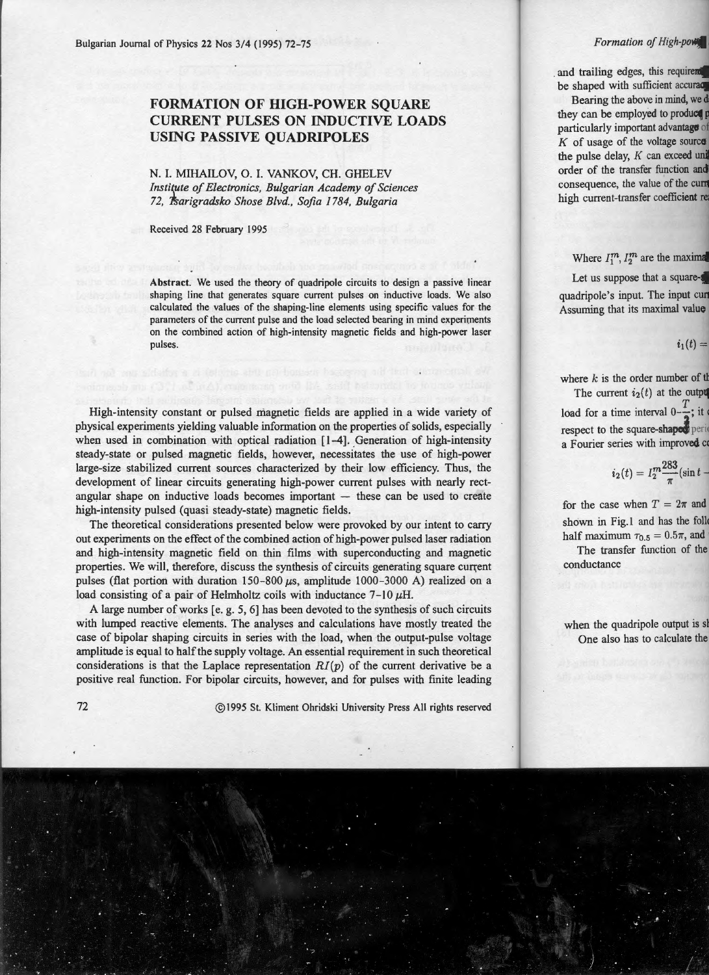## **FORMATION OF HIGH-POWER SOUARE CURRENT PULSES ON INDUCTIVE LOADS USING PASSIVE QUADRIPOLES**

## N. I. MIHAILOV, O. I. VANKOV, CH. GHELEV **Institute of Electronics, Bulgarian Academy of Sciences** *72, Tsarigradsko Shose Blvd., Sofia 1784, Bulgaria*

Received 28 February 1995

Abstract. We used the theory of quadripole circuits to design a passive linear shaping line that generates square current pulses on inductive loads. We also calculated the values of the shaping-line elements using specific values for the parameters of the current pulse and the load selected bearing in mind experiments on the combined action of high-intensity magnetic fields and high-power laser pulses.

High-intensity constant or pulsed magnetic fields are applied in a wide variety of physical experiments yielding valuable information on the properties of solids, especially when used in combination with optical radiation [1-4]. Generation of high-intensity steady-state or pulsed magnetic fields, however, necessitates the use of high-power large-size stabilized current sources characterized by their low efficiency. Thus, the development of linear circuits generating high-power current pulses with nearly rectangular shape on inductive loads becomes important  $-$  these can be used to create high-intensity pulsed (quasi steady-state) magnetic fields.

The theoretical considerations presented below were provoked by our intent to carry out experiments on the effect of the combined action of high-power pulsed laser radiation and high-intensity magnetic field on thin films with superconducting and magnetic properties. We will, therefore, discuss the synthesis of circuits generating square current pulses (flat portion with duration 150-800  $\mu$ s, amplitude 1000-3000 A) realized on a load consisting of a pair of Helmholtz coils with inductance  $7-10 \mu$ H.

A large number of works [e.g. 5, 6] has been devoted to the synthesis of such circuits with lumped reactive elements. The analyses and calculations have mostly treated the case of bipolar shaping circuits in series with the load, when the output-pulse voltage amplitude is equal to half the supply voltage. An essential requirement in such theoretical considerations is that the Laplace representation  $RI(p)$  of the current derivative be a positive real function. For bipolar circuits, however, and for pulses with finite leading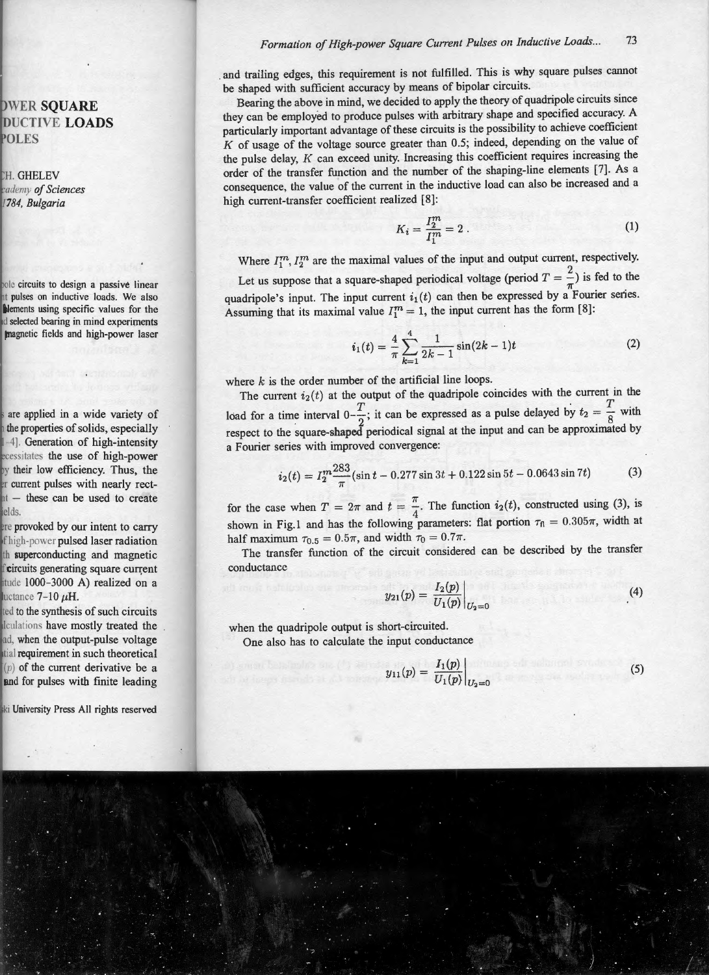and trailing edges, this requirement is not fulfilled. This is why square pulses cannot be shaped with sufficient accuracy by means of bipolar circuits.

Bearing the above in mind, we decided to apply the theory of quadripoie circuits since they can be employed to produce pulses with arbitrary shape and specified accuracy. A particularly important advantage of these circuits is the possibility to achieve coefficient *K* of usage of the voltage source greater than 0.5; indeed, depending on the value of the pulse delay, *K* can exceed unity. Increasing this coefficient requires increasing the order of the transfer function and the number of the shaping-line elements [7]. As a consequence, the value of the current in the inductive load can also be increased and a high current-transfer coefficient realized [8]:

$$
K_i = \frac{I_2^m}{I_1^m} = 2 \tag{1}
$$

Where  $I_1^m$ ,  $I_2^m$  are the maximal values of the input and output current, respectively. Let us suppose that a square-shaped periodical voltage (period  $T = \frac{2}{\pi}$ ) is fed to the quadripole's input. The input current  $i_1(t)$  can then be expressed by a Fourier series. Assuming that its maximal value  $I_1^m = 1$ , the input current has the form [8]:

$$
i_1(t) = \frac{4}{\pi} \sum_{k=1}^{4} \frac{1}{2k-1} \sin((2k-1)t) \tag{2}
$$

where *k* is the order number of the artificial line loops.

The current  $i_2(t)$  at the output of the quadripole coincides with the current in the load for a time interval  $0-\frac{1}{\epsilon}$ ; it can be expressed as a pulse delayed by  $t_2 = \frac{1}{\epsilon}$  with respect to the square-shaped periodical signal at the input and can be approximated by a Fourier series with improved convergence:

$$
i_2(t) = I_2^m \frac{283}{\pi} (\sin t - 0.277 \sin 3t + 0.122 \sin 5t - 0.0643 \sin 7t)
$$
 (3)

for the case when  $T = 2\pi$  and  $t = \frac{\pi}{4}$ . The function  $i_2(t)$ , constructed using (3), is shown in Fig.1 and has the following parameters: flat portion  $\tau_{\text{n}} = 0.305\pi$ , width at half maximum  $\tau_{0.5} = 0.5\pi$ , and width  $\tau_0 = 0.7\pi$ .

The transfer function of the circuit considered can be described by the transfer conductance

$$
y_{21}(p) = \left. \frac{I_2(p)}{U_1(p)} \right|_{U_2=0} \tag{4}
$$

(5)

when the quadripole output is short-circuited.

One also has to calculate the input conductance

$$
y_{11}(p) = \left. \frac{I_1(p)}{U_1(p)} \right|_{U_2=0}
$$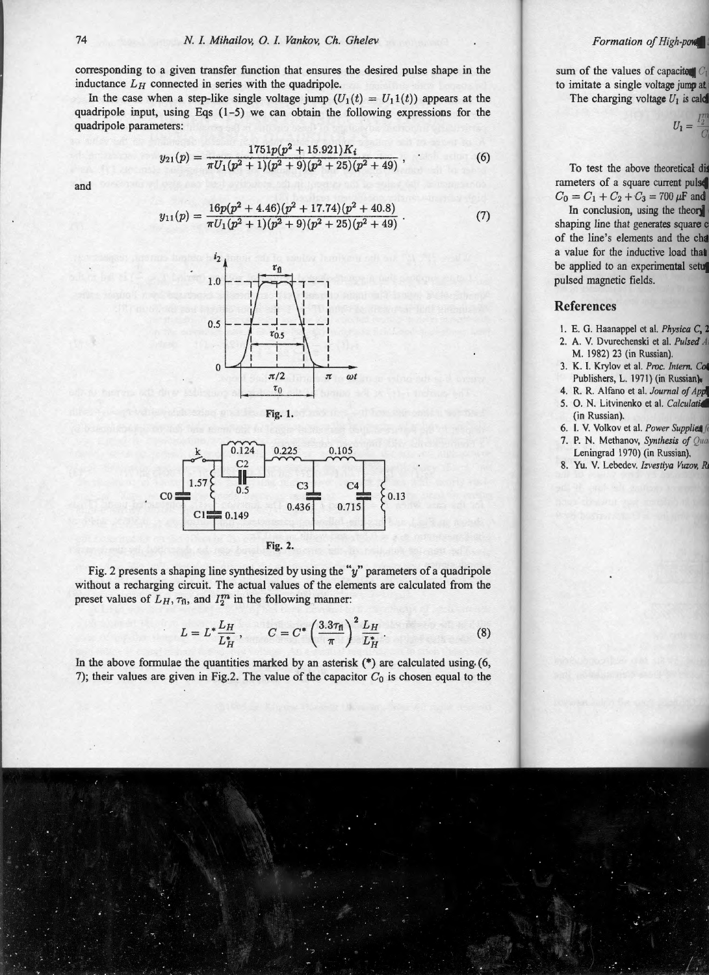corresponding to a given transfer function that ensures the desired pulse shape in the inductance  $L_H$  connected in series with the quadripole.

In the case when a step-like single voltage jump  $(U_1(t) = U_1(1(t))$  appears at the quadripole input, using Eqs  $(1-5)$  we can obtain the following expressions for the quadripole parameters:

$$
y_{21}(p) = \frac{1751p(p^2 + 15.921)K_i}{\pi U_1(p^2 + 1)(p^2 + 9)(p^2 + 25)(p^2 + 49)},
$$
\n(6)

and

$$
y_{11}(p) = \frac{16p(p^2 + 4.46)(p^2 + 17.74)(p^2 + 40.8)}{\pi U_1(p^2 + 1)(p^2 + 9)(p^2 + 25)(p^2 + 49)}.
$$
\n(7)



Fig. 1.



Fig. 2 presents a shaping line synthesized by using the *"y"* parameters of a quadripole without a recharging circuit. The actual values of the elements are calculated from the preset values of  $L_H$ ,  $\tau_{\text{fl}}$ , and  $I_2^m$  in the following manner:

$$
L = L^* \frac{L_H}{L_H^*}, \qquad C = C^* \left(\frac{3.3\tau_{\rm fl}}{\pi}\right)^2 \frac{L_H}{L_H^*}.
$$
 (8)

In the above fommlae the quantities marked by an asterisk (\*) are calculated using. (6, 7); their values are given in Fig.2. The value of the capacitor  $C_0$  is chosen equal to the